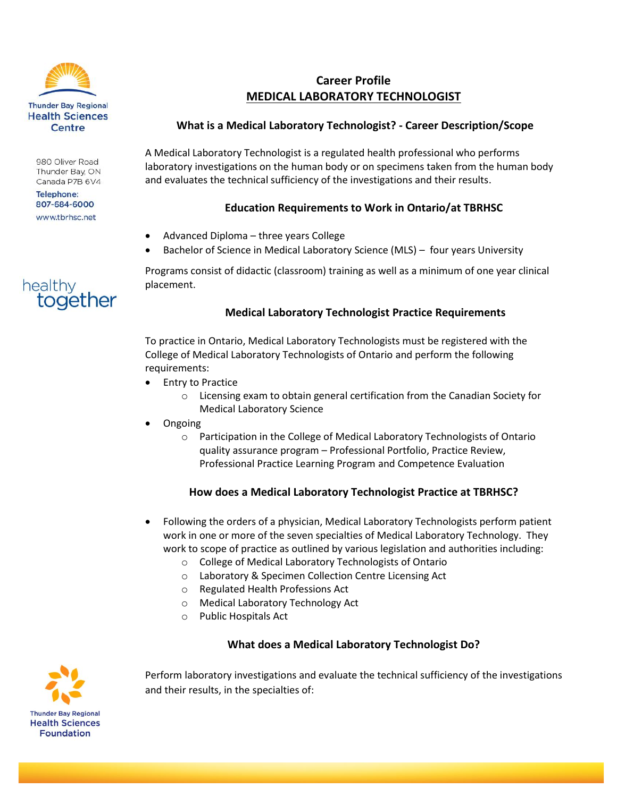

980 Oliver Road Thunder Bay, ON Canada P7B 6V4

**Telephone:** 807-684-6000 www.tbrhsc.net

together

healthy

# **Career Profile MEDICAL LABORATORY TECHNOLOGIST**

# **What is a Medical Laboratory Technologist? - Career Description/Scope**

A Medical Laboratory Technologist is a regulated health professional who performs laboratory investigations on the human body or on specimens taken from the human body and evaluates the technical sufficiency of the investigations and their results.

# **Education Requirements to Work in Ontario/at TBRHSC**

- Advanced Diploma three years College
- Bachelor of Science in Medical Laboratory Science (MLS) four years University

Programs consist of didactic (classroom) training as well as a minimum of one year clinical placement.

# **Medical Laboratory Technologist Practice Requirements**

To practice in Ontario, Medical Laboratory Technologists must be registered with the College of Medical Laboratory Technologists of Ontario and perform the following requirements:

- Entry to Practice
	- o Licensing exam to obtain general certification from the Canadian Society for Medical Laboratory Science
- Ongoing
	- o Participation in the College of Medical Laboratory Technologists of Ontario quality assurance program – Professional Portfolio, Practice Review, Professional Practice Learning Program and Competence Evaluation

### **How does a Medical Laboratory Technologist Practice at TBRHSC?**

- Following the orders of a physician, Medical Laboratory Technologists perform patient work in one or more of the seven specialties of Medical Laboratory Technology. They work to scope of practice as outlined by various legislation and authorities including:
	- o College of Medical Laboratory Technologists of Ontario
	- o Laboratory & Specimen Collection Centre Licensing Act
	- o Regulated Health Professions Act
	- o Medical Laboratory Technology Act
	- o Public Hospitals Act

### **What does a Medical Laboratory Technologist Do?**

Perform laboratory investigations and evaluate the technical sufficiency of the investigations and their results, in the specialties of: